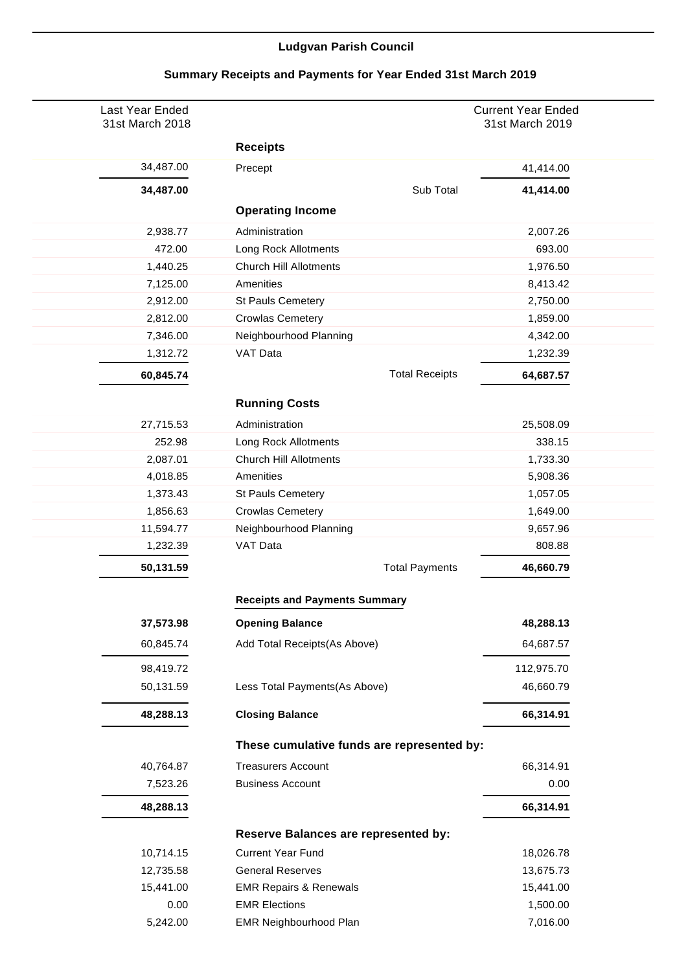## **Ludgvan Parish Council**

| Last Year Ended<br>31st March 2018 |                                            | <b>Current Year Ended</b><br>31st March 2019 |
|------------------------------------|--------------------------------------------|----------------------------------------------|
|                                    | <b>Receipts</b>                            |                                              |
| 34,487.00                          | Precept                                    | 41,414.00                                    |
| 34,487.00                          | Sub Total                                  | 41,414.00                                    |
|                                    | <b>Operating Income</b>                    |                                              |
| 2,938.77                           | Administration                             | 2,007.26                                     |
| 472.00                             | Long Rock Allotments                       | 693.00                                       |
| 1,440.25                           | <b>Church Hill Allotments</b>              | 1,976.50                                     |
| 7,125.00                           | Amenities                                  | 8,413.42                                     |
| 2,912.00                           | <b>St Pauls Cemetery</b>                   | 2,750.00                                     |
| 2,812.00                           | <b>Crowlas Cemetery</b>                    | 1,859.00                                     |
| 7,346.00                           | Neighbourhood Planning                     | 4,342.00                                     |
| 1,312.72                           | VAT Data                                   | 1,232.39                                     |
| 60,845.74                          | <b>Total Receipts</b>                      | 64,687.57                                    |
|                                    | <b>Running Costs</b>                       |                                              |
| 27,715.53                          | Administration                             | 25,508.09                                    |
| 252.98                             | Long Rock Allotments                       | 338.15                                       |
| 2,087.01                           | <b>Church Hill Allotments</b>              | 1,733.30                                     |
| 4,018.85                           | Amenities                                  | 5,908.36                                     |
| 1,373.43                           | <b>St Pauls Cemetery</b>                   | 1,057.05                                     |
| 1,856.63                           | <b>Crowlas Cemetery</b>                    | 1,649.00                                     |
| 11,594.77                          | Neighbourhood Planning                     | 9,657.96                                     |
| 1,232.39                           | VAT Data                                   | 808.88                                       |
| 50,131.59                          | <b>Total Payments</b>                      | 46,660.79                                    |
|                                    | <b>Receipts and Payments Summary</b>       |                                              |
| 37,573.98                          | <b>Opening Balance</b>                     | 48,288.13                                    |
|                                    |                                            |                                              |
| 60,845.74                          | Add Total Receipts(As Above)               | 64,687.57                                    |
| 98,419.72                          |                                            | 112,975.70                                   |
| 50,131.59                          | Less Total Payments(As Above)              | 46,660.79                                    |
| 48,288.13                          | <b>Closing Balance</b>                     | 66,314.91                                    |
|                                    | These cumulative funds are represented by: |                                              |
| 40,764.87                          | <b>Treasurers Account</b>                  | 66,314.91                                    |
| 7,523.26                           | <b>Business Account</b>                    | 0.00                                         |
| 48,288.13                          |                                            | 66,314.91                                    |
|                                    | Reserve Balances are represented by:       |                                              |
| 10,714.15                          | <b>Current Year Fund</b>                   | 18,026.78                                    |
| 12,735.58                          | <b>General Reserves</b>                    | 13,675.73                                    |
| 15,441.00                          | <b>EMR Repairs &amp; Renewals</b>          | 15,441.00                                    |
| 0.00                               | <b>EMR Elections</b>                       | 1,500.00                                     |
| 5,242.00                           | EMR Neighbourhood Plan                     | 7,016.00                                     |

## **Summary Receipts and Payments for Year Ended 31st March 2019**